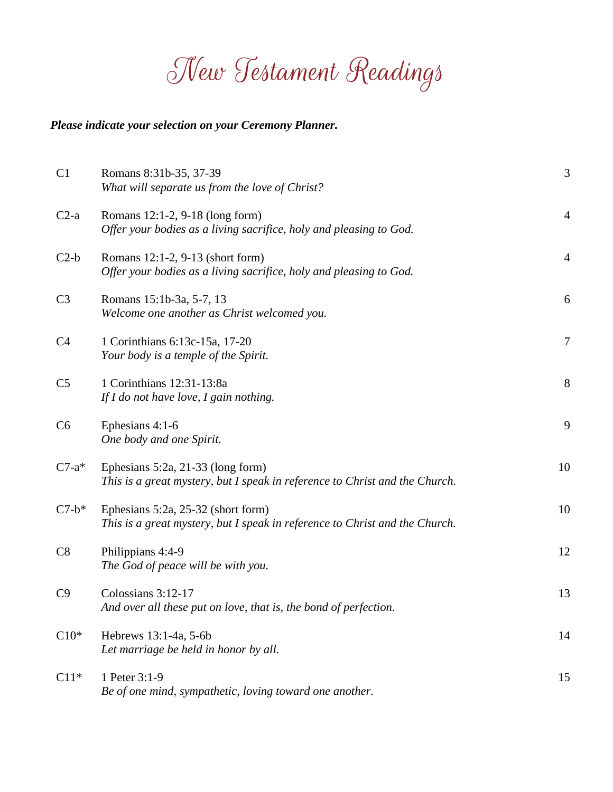# New Testament Readings

# *Please indicate your selection on your Ceremony Planner.*

| C1             | Romans 8:31b-35, 37-39<br>What will separate us from the love of Christ?                                              | 3              |
|----------------|-----------------------------------------------------------------------------------------------------------------------|----------------|
| $C2-a$         | Romans 12:1-2, 9-18 (long form)<br>Offer your bodies as a living sacrifice, holy and pleasing to God.                 | $\overline{4}$ |
| $C2-b$         | Romans 12:1-2, 9-13 (short form)<br>Offer your bodies as a living sacrifice, holy and pleasing to God.                | $\overline{4}$ |
| C <sub>3</sub> | Romans 15:1b-3a, 5-7, 13<br>Welcome one another as Christ welcomed you.                                               | 6              |
| C <sub>4</sub> | 1 Corinthians 6:13c-15a, 17-20<br>Your body is a temple of the Spirit.                                                | $\overline{7}$ |
| C <sub>5</sub> | 1 Corinthians 12:31-13:8a<br>If I do not have love, I gain nothing.                                                   | 8              |
| C6             | Ephesians 4:1-6<br>One body and one Spirit.                                                                           | 9              |
| $C7-a*$        | Ephesians $5:2a$ , $21-33$ (long form)<br>This is a great mystery, but I speak in reference to Christ and the Church. | 10             |
| $C7-b*$        | Ephesians 5:2a, 25-32 (short form)<br>This is a great mystery, but I speak in reference to Christ and the Church.     | 10             |
| C8             | Philippians 4:4-9<br>The God of peace will be with you.                                                               | 12             |
| C9             | Colossians 3:12-17<br>And over all these put on love, that is, the bond of perfection.                                | 13             |
| $C10*$         | Hebrews 13:1-4a, 5-6b<br>Let marriage be held in honor by all.                                                        | 14             |
| $C11*$         | 1 Peter 3:1-9<br>Be of one mind, sympathetic, loving toward one another.                                              | 15             |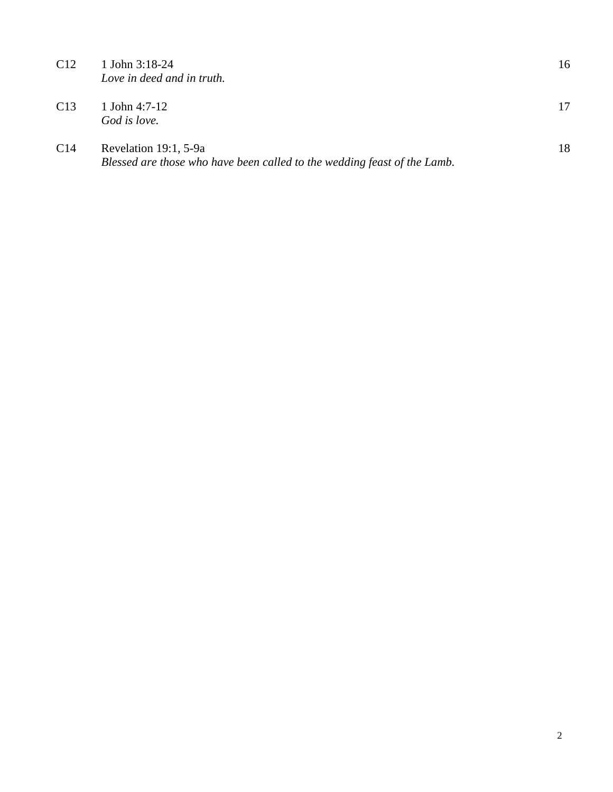| C12             | 1 John 3:18-24<br>Love in deed and in truth.                                                        | 16 |
|-----------------|-----------------------------------------------------------------------------------------------------|----|
| C13             | 1 John 4:7-12<br>God is love.                                                                       |    |
| C <sub>14</sub> | Revelation $19:1, 5-9a$<br>Blessed are those who have been called to the wedding feast of the Lamb. | 18 |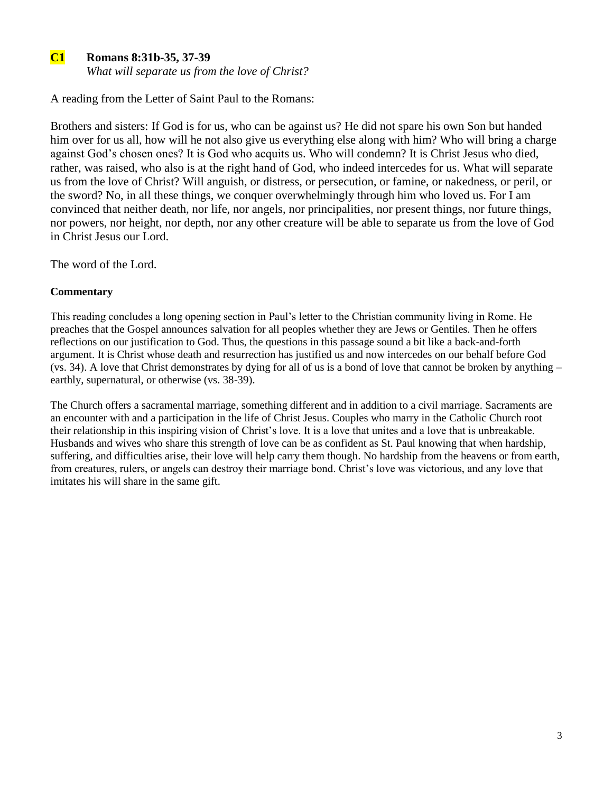# **C1 Romans 8:31b-35, 37-39**

*What will separate us from the love of Christ?*

A reading from the Letter of Saint Paul to the Romans:

Brothers and sisters: If God is for us, who can be against us? He did not spare his own Son but handed him over for us all, how will he not also give us everything else along with him? Who will bring a charge against God's chosen ones? It is God who acquits us. Who will condemn? It is Christ Jesus who died, rather, was raised, who also is at the right hand of God, who indeed intercedes for us. What will separate us from the love of Christ? Will anguish, or distress, or persecution, or famine, or nakedness, or peril, or the sword? No, in all these things, we conquer overwhelmingly through him who loved us. For I am convinced that neither death, nor life, nor angels, nor principalities, nor present things, nor future things, nor powers, nor height, nor depth, nor any other creature will be able to separate us from the love of God in Christ Jesus our Lord.

The word of the Lord.

#### **Commentary**

This reading concludes a long opening section in Paul's letter to the Christian community living in Rome. He preaches that the Gospel announces salvation for all peoples whether they are Jews or Gentiles. Then he offers reflections on our justification to God. Thus, the questions in this passage sound a bit like a back-and-forth argument. It is Christ whose death and resurrection has justified us and now intercedes on our behalf before God (vs. 34). A love that Christ demonstrates by dying for all of us is a bond of love that cannot be broken by anything – earthly, supernatural, or otherwise (vs. 38-39).

The Church offers a sacramental marriage, something different and in addition to a civil marriage. Sacraments are an encounter with and a participation in the life of Christ Jesus. Couples who marry in the Catholic Church root their relationship in this inspiring vision of Christ's love. It is a love that unites and a love that is unbreakable. Husbands and wives who share this strength of love can be as confident as St. Paul knowing that when hardship, suffering, and difficulties arise, their love will help carry them though. No hardship from the heavens or from earth, from creatures, rulers, or angels can destroy their marriage bond. Christ's love was victorious, and any love that imitates his will share in the same gift.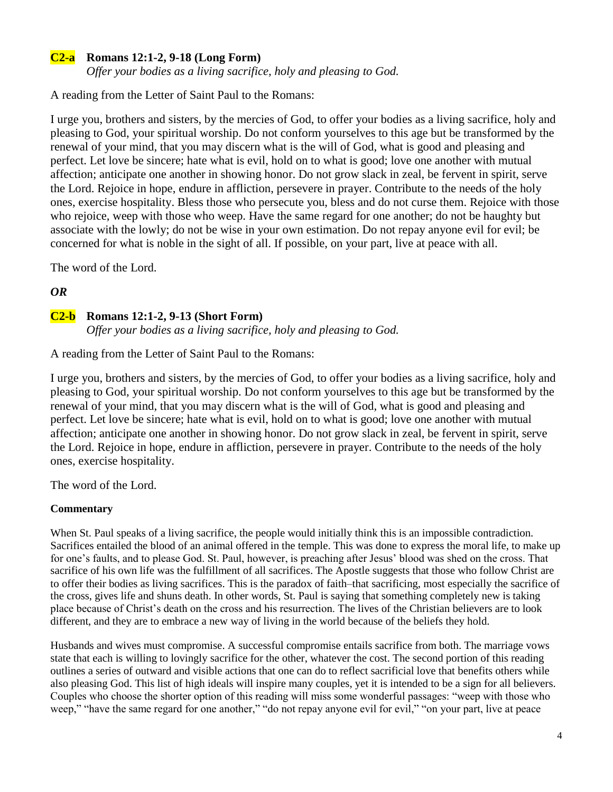#### **C2-a Romans 12:1-2, 9-18 (Long Form)**

*Offer your bodies as a living sacrifice, holy and pleasing to God.*

A reading from the Letter of Saint Paul to the Romans:

I urge you, brothers and sisters, by the mercies of God, to offer your bodies as a living sacrifice, holy and pleasing to God, your spiritual worship. Do not conform yourselves to this age but be transformed by the renewal of your mind, that you may discern what is the will of God, what is good and pleasing and perfect. Let love be sincere; hate what is evil, hold on to what is good; love one another with mutual affection; anticipate one another in showing honor. Do not grow slack in zeal, be fervent in spirit, serve the Lord. Rejoice in hope, endure in affliction, persevere in prayer. Contribute to the needs of the holy ones, exercise hospitality. Bless those who persecute you, bless and do not curse them. Rejoice with those who rejoice, weep with those who weep. Have the same regard for one another; do not be haughty but associate with the lowly; do not be wise in your own estimation. Do not repay anyone evil for evil; be concerned for what is noble in the sight of all. If possible, on your part, live at peace with all.

The word of the Lord.

## *OR*

## **C2-b Romans 12:1-2, 9-13 (Short Form)**

*Offer your bodies as a living sacrifice, holy and pleasing to God.*

A reading from the Letter of Saint Paul to the Romans:

I urge you, brothers and sisters, by the mercies of God, to offer your bodies as a living sacrifice, holy and pleasing to God, your spiritual worship. Do not conform yourselves to this age but be transformed by the renewal of your mind, that you may discern what is the will of God, what is good and pleasing and perfect. Let love be sincere; hate what is evil, hold on to what is good; love one another with mutual affection; anticipate one another in showing honor. Do not grow slack in zeal, be fervent in spirit, serve the Lord. Rejoice in hope, endure in affliction, persevere in prayer. Contribute to the needs of the holy ones, exercise hospitality.

The word of the Lord.

#### **Commentary**

When St. Paul speaks of a living sacrifice, the people would initially think this is an impossible contradiction. Sacrifices entailed the blood of an animal offered in the temple. This was done to express the moral life, to make up for one's faults, and to please God. St. Paul, however, is preaching after Jesus' blood was shed on the cross. That sacrifice of his own life was the fulfillment of all sacrifices. The Apostle suggests that those who follow Christ are to offer their bodies as living sacrifices. This is the paradox of faith–that sacrificing, most especially the sacrifice of the cross, gives life and shuns death. In other words, St. Paul is saying that something completely new is taking place because of Christ's death on the cross and his resurrection. The lives of the Christian believers are to look different, and they are to embrace a new way of living in the world because of the beliefs they hold.

Husbands and wives must compromise. A successful compromise entails sacrifice from both. The marriage vows state that each is willing to lovingly sacrifice for the other, whatever the cost. The second portion of this reading outlines a series of outward and visible actions that one can do to reflect sacrificial love that benefits others while also pleasing God. This list of high ideals will inspire many couples, yet it is intended to be a sign for all believers. Couples who choose the shorter option of this reading will miss some wonderful passages: "weep with those who weep," "have the same regard for one another," "do not repay anyone evil for evil," "on your part, live at peace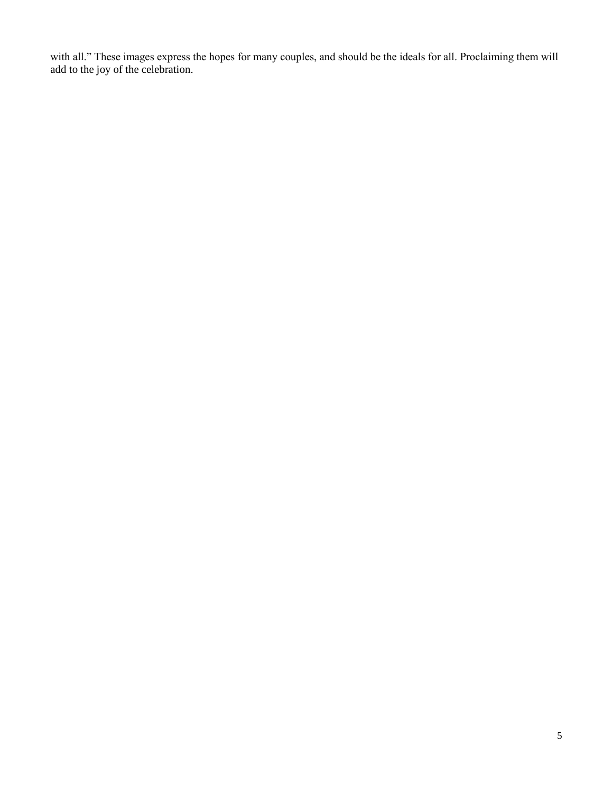with all." These images express the hopes for many couples, and should be the ideals for all. Proclaiming them will add to the joy of the celebration.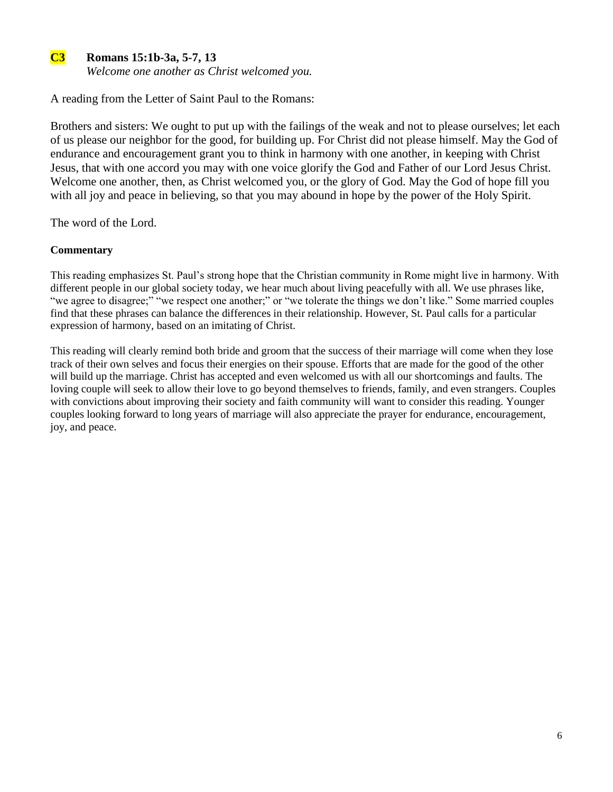## **C3 Romans 15:1b-3a, 5-7, 13**

*Welcome one another as Christ welcomed you.*

A reading from the Letter of Saint Paul to the Romans:

Brothers and sisters: We ought to put up with the failings of the weak and not to please ourselves; let each of us please our neighbor for the good, for building up. For Christ did not please himself. May the God of endurance and encouragement grant you to think in harmony with one another, in keeping with Christ Jesus, that with one accord you may with one voice glorify the God and Father of our Lord Jesus Christ. Welcome one another, then, as Christ welcomed you, or the glory of God. May the God of hope fill you with all joy and peace in believing, so that you may abound in hope by the power of the Holy Spirit.

The word of the Lord.

#### **Commentary**

This reading emphasizes St. Paul's strong hope that the Christian community in Rome might live in harmony. With different people in our global society today, we hear much about living peacefully with all. We use phrases like, "we agree to disagree;" "we respect one another;" or "we tolerate the things we don't like." Some married couples find that these phrases can balance the differences in their relationship. However, St. Paul calls for a particular expression of harmony, based on an imitating of Christ.

This reading will clearly remind both bride and groom that the success of their marriage will come when they lose track of their own selves and focus their energies on their spouse. Efforts that are made for the good of the other will build up the marriage. Christ has accepted and even welcomed us with all our shortcomings and faults. The loving couple will seek to allow their love to go beyond themselves to friends, family, and even strangers. Couples with convictions about improving their society and faith community will want to consider this reading. Younger couples looking forward to long years of marriage will also appreciate the prayer for endurance, encouragement, joy, and peace.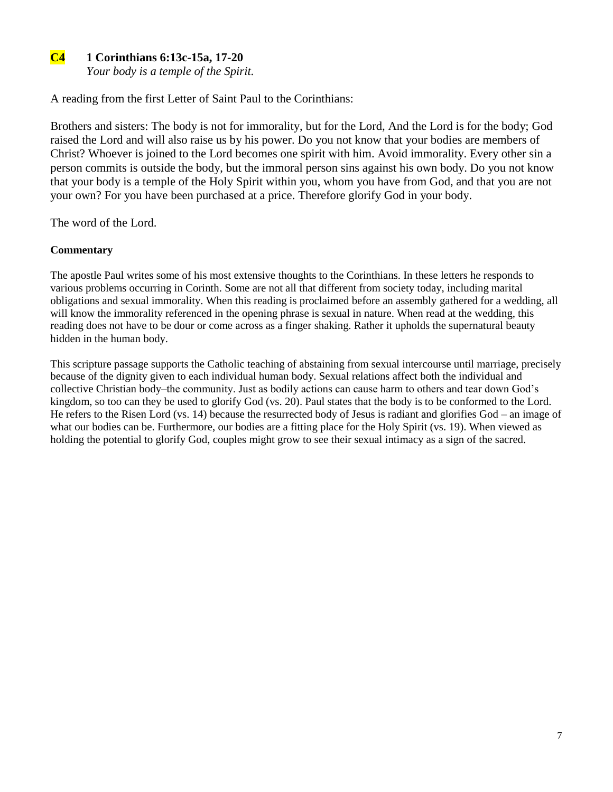# **C4 1 Corinthians 6:13c-15a, 17-20**

*Your body is a temple of the Spirit.*

A reading from the first Letter of Saint Paul to the Corinthians:

Brothers and sisters: The body is not for immorality, but for the Lord, And the Lord is for the body; God raised the Lord and will also raise us by his power. Do you not know that your bodies are members of Christ? Whoever is joined to the Lord becomes one spirit with him. Avoid immorality. Every other sin a person commits is outside the body, but the immoral person sins against his own body. Do you not know that your body is a temple of the Holy Spirit within you, whom you have from God, and that you are not your own? For you have been purchased at a price. Therefore glorify God in your body.

The word of the Lord.

## **Commentary**

The apostle Paul writes some of his most extensive thoughts to the Corinthians. In these letters he responds to various problems occurring in Corinth. Some are not all that different from society today, including marital obligations and sexual immorality. When this reading is proclaimed before an assembly gathered for a wedding, all will know the immorality referenced in the opening phrase is sexual in nature. When read at the wedding, this reading does not have to be dour or come across as a finger shaking. Rather it upholds the supernatural beauty hidden in the human body.

This scripture passage supports the Catholic teaching of abstaining from sexual intercourse until marriage, precisely because of the dignity given to each individual human body. Sexual relations affect both the individual and collective Christian body–the community. Just as bodily actions can cause harm to others and tear down God's kingdom, so too can they be used to glorify God (vs. 20). Paul states that the body is to be conformed to the Lord. He refers to the Risen Lord (vs. 14) because the resurrected body of Jesus is radiant and glorifies God – an image of what our bodies can be. Furthermore, our bodies are a fitting place for the Holy Spirit (vs. 19). When viewed as holding the potential to glorify God, couples might grow to see their sexual intimacy as a sign of the sacred.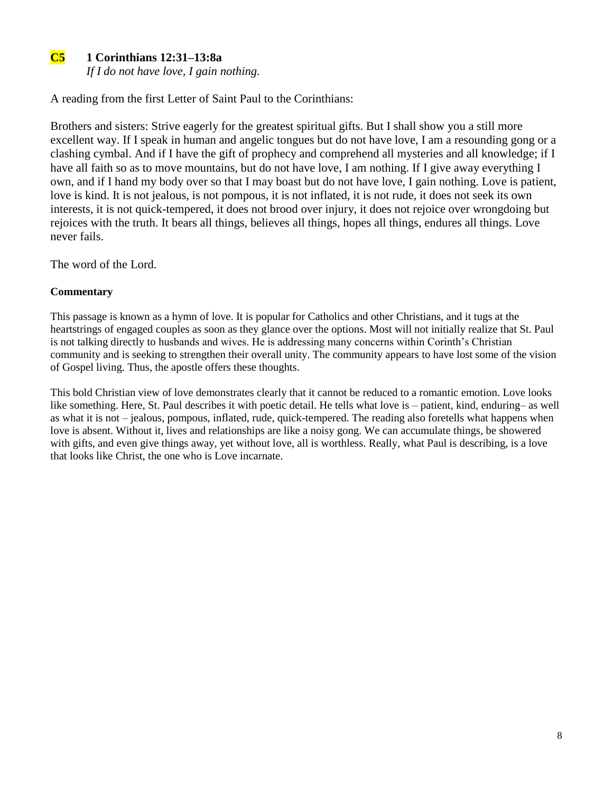# **C5 1 Corinthians 12:31–13:8a**

*If I do not have love, I gain nothing.*

A reading from the first Letter of Saint Paul to the Corinthians:

Brothers and sisters: Strive eagerly for the greatest spiritual gifts. But I shall show you a still more excellent way. If I speak in human and angelic tongues but do not have love, I am a resounding gong or a clashing cymbal. And if I have the gift of prophecy and comprehend all mysteries and all knowledge; if I have all faith so as to move mountains, but do not have love, I am nothing. If I give away everything I own, and if I hand my body over so that I may boast but do not have love, I gain nothing. Love is patient, love is kind. It is not jealous, is not pompous, it is not inflated, it is not rude, it does not seek its own interests, it is not quick-tempered, it does not brood over injury, it does not rejoice over wrongdoing but rejoices with the truth. It bears all things, believes all things, hopes all things, endures all things. Love never fails.

The word of the Lord.

#### **Commentary**

This passage is known as a hymn of love. It is popular for Catholics and other Christians, and it tugs at the heartstrings of engaged couples as soon as they glance over the options. Most will not initially realize that St. Paul is not talking directly to husbands and wives. He is addressing many concerns within Corinth's Christian community and is seeking to strengthen their overall unity. The community appears to have lost some of the vision of Gospel living. Thus, the apostle offers these thoughts.

This bold Christian view of love demonstrates clearly that it cannot be reduced to a romantic emotion. Love looks like something. Here, St. Paul describes it with poetic detail. He tells what love is – patient, kind, enduring– as well as what it is not – jealous, pompous, inflated, rude, quick-tempered. The reading also foretells what happens when love is absent. Without it, lives and relationships are like a noisy gong. We can accumulate things, be showered with gifts, and even give things away, yet without love, all is worthless. Really, what Paul is describing, is a love that looks like Christ, the one who is Love incarnate.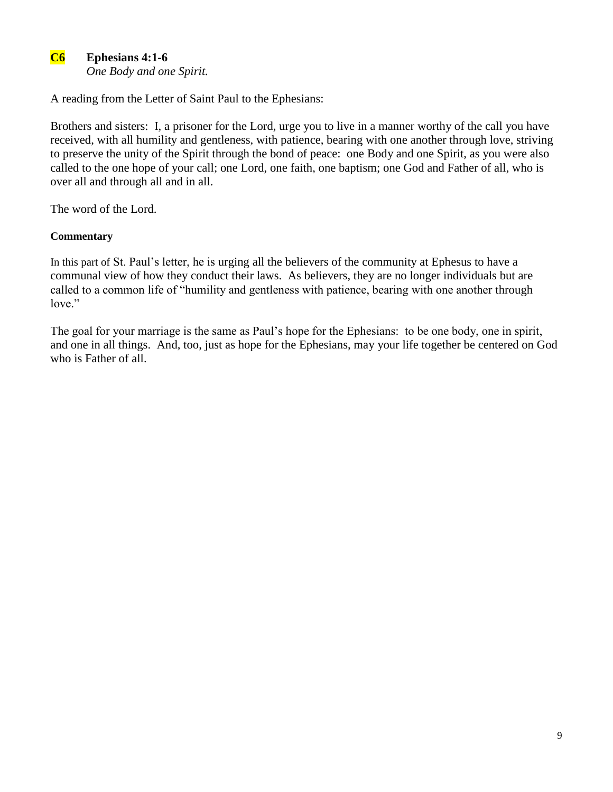# **C6 Ephesians 4:1-6**

*One Body and one Spirit.*

A reading from the Letter of Saint Paul to the Ephesians:

Brothers and sisters: I, a prisoner for the Lord, urge you to live in a manner worthy of the call you have received, with all humility and gentleness, with patience, bearing with one another through love, striving to preserve the unity of the Spirit through the bond of peace: one Body and one Spirit, as you were also called to the one hope of your call; one Lord, one faith, one baptism; one God and Father of all, who is over all and through all and in all.

The word of the Lord.

#### **Commentary**

In this part of St. Paul's letter, he is urging all the believers of the community at Ephesus to have a communal view of how they conduct their laws. As believers, they are no longer individuals but are called to a common life of "humility and gentleness with patience, bearing with one another through love."

The goal for your marriage is the same as Paul's hope for the Ephesians: to be one body, one in spirit, and one in all things. And, too, just as hope for the Ephesians, may your life together be centered on God who is Father of all.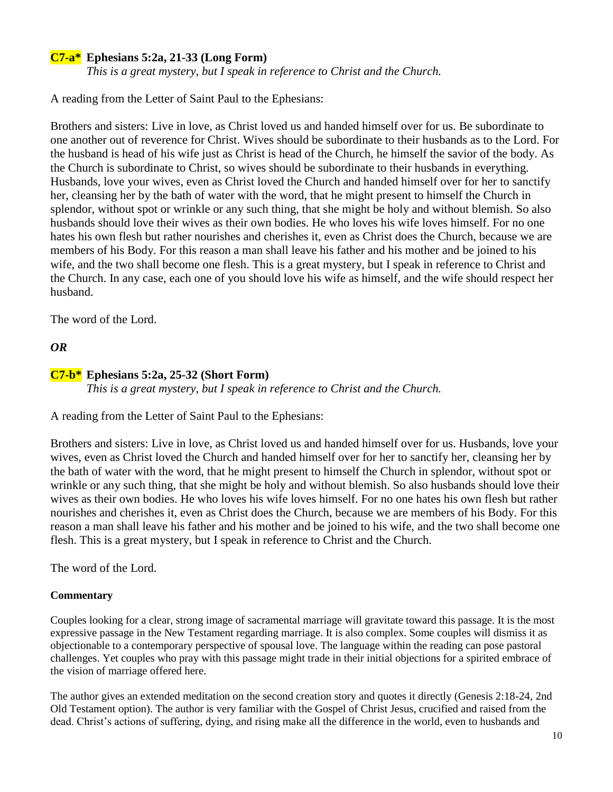#### **C7-a\* Ephesians 5:2a, 21-33 (Long Form)**

*This is a great mystery, but I speak in reference to Christ and the Church.*

A reading from the Letter of Saint Paul to the Ephesians:

Brothers and sisters: Live in love, as Christ loved us and handed himself over for us. Be subordinate to one another out of reverence for Christ. Wives should be subordinate to their husbands as to the Lord. For the husband is head of his wife just as Christ is head of the Church, he himself the savior of the body. As the Church is subordinate to Christ, so wives should be subordinate to their husbands in everything. Husbands, love your wives, even as Christ loved the Church and handed himself over for her to sanctify her, cleansing her by the bath of water with the word, that he might present to himself the Church in splendor, without spot or wrinkle or any such thing, that she might be holy and without blemish. So also husbands should love their wives as their own bodies. He who loves his wife loves himself. For no one hates his own flesh but rather nourishes and cherishes it, even as Christ does the Church, because we are members of his Body. For this reason a man shall leave his father and his mother and be joined to his wife, and the two shall become one flesh. This is a great mystery, but I speak in reference to Christ and the Church. In any case, each one of you should love his wife as himself, and the wife should respect her husband.

The word of the Lord.

## *OR*

## **C7-b\* Ephesians 5:2a, 25-32 (Short Form)**

*This is a great mystery, but I speak in reference to Christ and the Church.*

A reading from the Letter of Saint Paul to the Ephesians:

Brothers and sisters: Live in love, as Christ loved us and handed himself over for us. Husbands, love your wives, even as Christ loved the Church and handed himself over for her to sanctify her, cleansing her by the bath of water with the word, that he might present to himself the Church in splendor, without spot or wrinkle or any such thing, that she might be holy and without blemish. So also husbands should love their wives as their own bodies. He who loves his wife loves himself. For no one hates his own flesh but rather nourishes and cherishes it, even as Christ does the Church, because we are members of his Body. For this reason a man shall leave his father and his mother and be joined to his wife, and the two shall become one flesh. This is a great mystery, but I speak in reference to Christ and the Church.

The word of the Lord.

#### **Commentary**

Couples looking for a clear, strong image of sacramental marriage will gravitate toward this passage. It is the most expressive passage in the New Testament regarding marriage. It is also complex. Some couples will dismiss it as objectionable to a contemporary perspective of spousal love. The language within the reading can pose pastoral challenges. Yet couples who pray with this passage might trade in their initial objections for a spirited embrace of the vision of marriage offered here.

The author gives an extended meditation on the second creation story and quotes it directly (Genesis 2:18-24, 2nd Old Testament option). The author is very familiar with the Gospel of Christ Jesus, crucified and raised from the dead. Christ's actions of suffering, dying, and rising make all the difference in the world, even to husbands and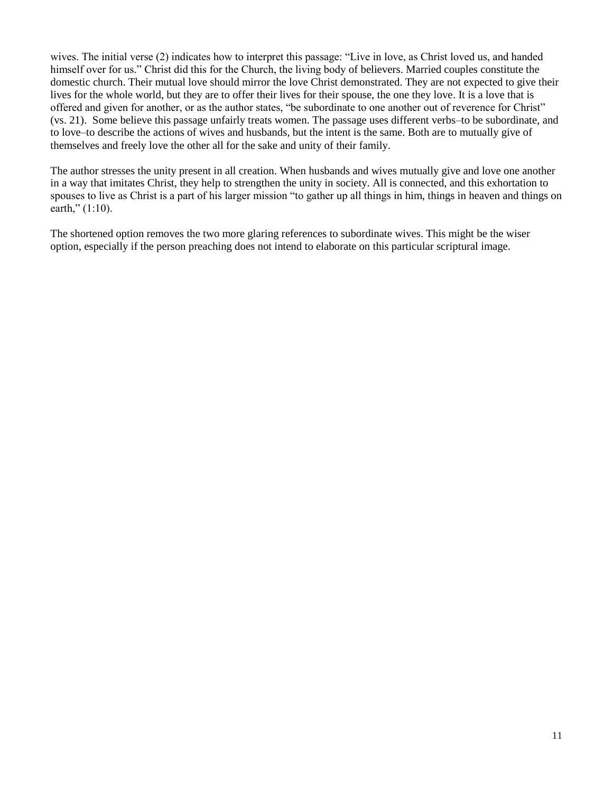wives. The initial verse (2) indicates how to interpret this passage: "Live in love, as Christ loved us, and handed himself over for us." Christ did this for the Church, the living body of believers. Married couples constitute the domestic church. Their mutual love should mirror the love Christ demonstrated. They are not expected to give their lives for the whole world, but they are to offer their lives for their spouse, the one they love. It is a love that is offered and given for another, or as the author states, "be subordinate to one another out of reverence for Christ" (vs. 21). Some believe this passage unfairly treats women. The passage uses different verbs–to be subordinate, and to love–to describe the actions of wives and husbands, but the intent is the same. Both are to mutually give of themselves and freely love the other all for the sake and unity of their family.

The author stresses the unity present in all creation. When husbands and wives mutually give and love one another in a way that imitates Christ, they help to strengthen the unity in society. All is connected, and this exhortation to spouses to live as Christ is a part of his larger mission "to gather up all things in him, things in heaven and things on earth,"  $(1:10)$ .

The shortened option removes the two more glaring references to subordinate wives. This might be the wiser option, especially if the person preaching does not intend to elaborate on this particular scriptural image.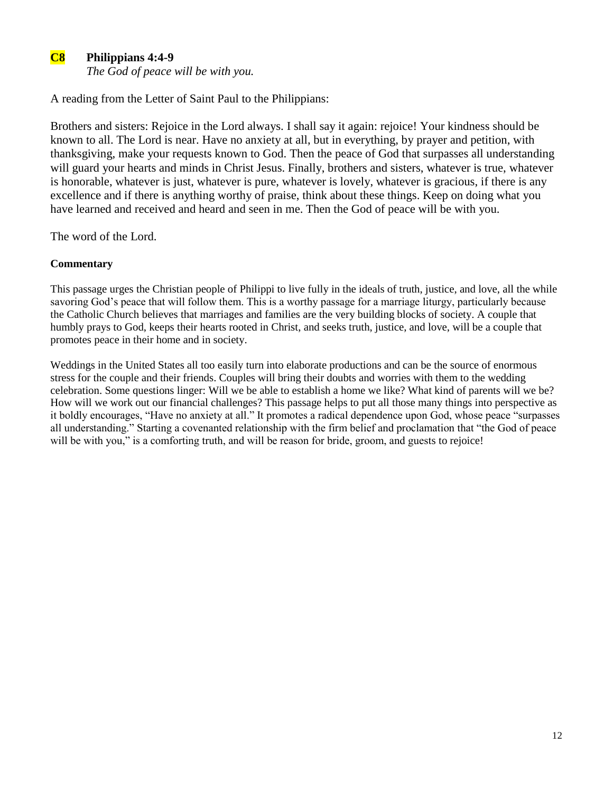# **C8 Philippians 4:4-9**

*The God of peace will be with you.*

A reading from the Letter of Saint Paul to the Philippians:

Brothers and sisters: Rejoice in the Lord always. I shall say it again: rejoice! Your kindness should be known to all. The Lord is near. Have no anxiety at all, but in everything, by prayer and petition, with thanksgiving, make your requests known to God. Then the peace of God that surpasses all understanding will guard your hearts and minds in Christ Jesus. Finally, brothers and sisters, whatever is true, whatever is honorable, whatever is just, whatever is pure, whatever is lovely, whatever is gracious, if there is any excellence and if there is anything worthy of praise, think about these things. Keep on doing what you have learned and received and heard and seen in me. Then the God of peace will be with you.

The word of the Lord.

#### **Commentary**

This passage urges the Christian people of Philippi to live fully in the ideals of truth, justice, and love, all the while savoring God's peace that will follow them. This is a worthy passage for a marriage liturgy, particularly because the Catholic Church believes that marriages and families are the very building blocks of society. A couple that humbly prays to God, keeps their hearts rooted in Christ, and seeks truth, justice, and love, will be a couple that promotes peace in their home and in society.

Weddings in the United States all too easily turn into elaborate productions and can be the source of enormous stress for the couple and their friends. Couples will bring their doubts and worries with them to the wedding celebration. Some questions linger: Will we be able to establish a home we like? What kind of parents will we be? How will we work out our financial challenges? This passage helps to put all those many things into perspective as it boldly encourages, "Have no anxiety at all." It promotes a radical dependence upon God, whose peace "surpasses all understanding." Starting a covenanted relationship with the firm belief and proclamation that "the God of peace will be with you," is a comforting truth, and will be reason for bride, groom, and guests to rejoice!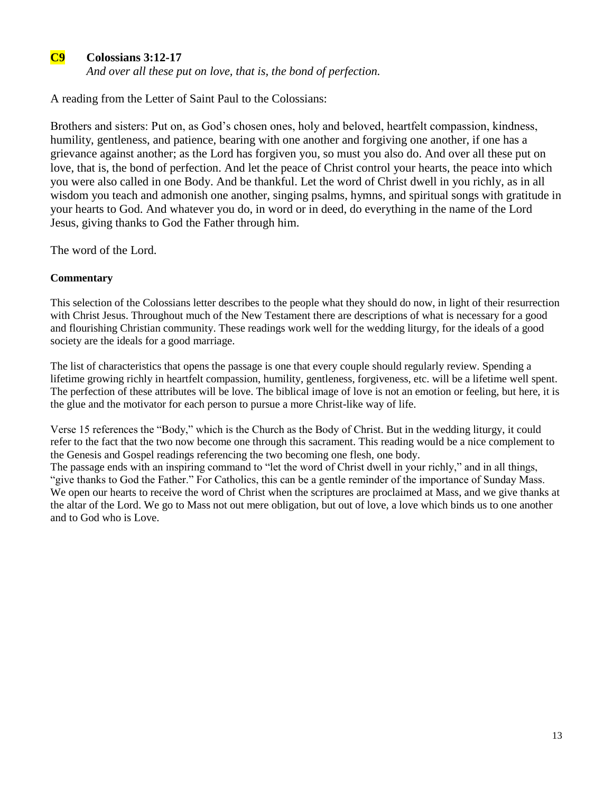# **C9 Colossians 3:12-17**

*And over all these put on love, that is, the bond of perfection.*

A reading from the Letter of Saint Paul to the Colossians:

Brothers and sisters: Put on, as God's chosen ones, holy and beloved, heartfelt compassion, kindness, humility, gentleness, and patience, bearing with one another and forgiving one another, if one has a grievance against another; as the Lord has forgiven you, so must you also do. And over all these put on love, that is, the bond of perfection. And let the peace of Christ control your hearts, the peace into which you were also called in one Body. And be thankful. Let the word of Christ dwell in you richly, as in all wisdom you teach and admonish one another, singing psalms, hymns, and spiritual songs with gratitude in your hearts to God. And whatever you do, in word or in deed, do everything in the name of the Lord Jesus, giving thanks to God the Father through him.

The word of the Lord.

#### **Commentary**

This selection of the Colossians letter describes to the people what they should do now, in light of their resurrection with Christ Jesus. Throughout much of the New Testament there are descriptions of what is necessary for a good and flourishing Christian community. These readings work well for the wedding liturgy, for the ideals of a good society are the ideals for a good marriage.

The list of characteristics that opens the passage is one that every couple should regularly review. Spending a lifetime growing richly in heartfelt compassion, humility, gentleness, forgiveness, etc. will be a lifetime well spent. The perfection of these attributes will be love. The biblical image of love is not an emotion or feeling, but here, it is the glue and the motivator for each person to pursue a more Christ-like way of life.

Verse 15 references the "Body," which is the Church as the Body of Christ. But in the wedding liturgy, it could refer to the fact that the two now become one through this sacrament. This reading would be a nice complement to the Genesis and Gospel readings referencing the two becoming one flesh, one body.

The passage ends with an inspiring command to "let the word of Christ dwell in your richly," and in all things, "give thanks to God the Father." For Catholics, this can be a gentle reminder of the importance of Sunday Mass. We open our hearts to receive the word of Christ when the scriptures are proclaimed at Mass, and we give thanks at the altar of the Lord. We go to Mass not out mere obligation, but out of love, a love which binds us to one another and to God who is Love.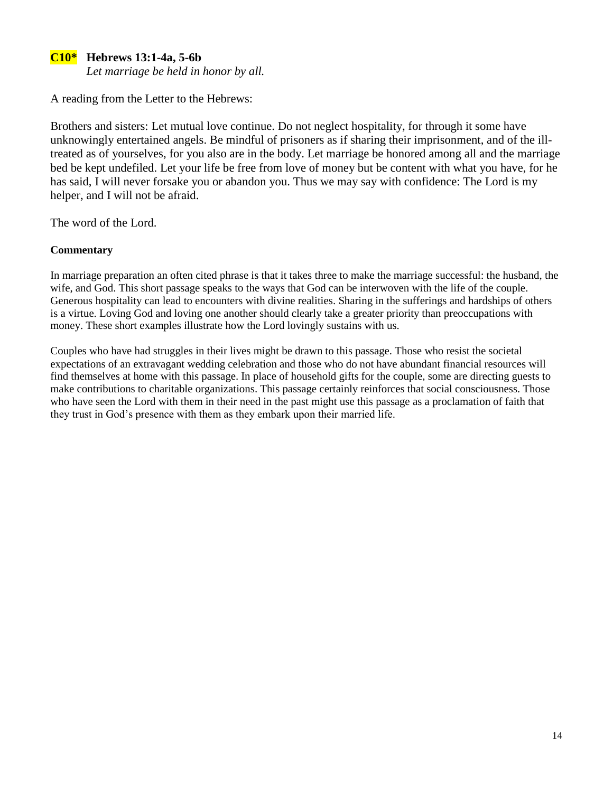## **C10\* Hebrews 13:1-4a, 5-6b**

*Let marriage be held in honor by all.*

A reading from the Letter to the Hebrews:

Brothers and sisters: Let mutual love continue. Do not neglect hospitality, for through it some have unknowingly entertained angels. Be mindful of prisoners as if sharing their imprisonment, and of the illtreated as of yourselves, for you also are in the body. Let marriage be honored among all and the marriage bed be kept undefiled. Let your life be free from love of money but be content with what you have, for he has said, I will never forsake you or abandon you. Thus we may say with confidence: The Lord is my helper, and I will not be afraid.

The word of the Lord.

#### **Commentary**

In marriage preparation an often cited phrase is that it takes three to make the marriage successful: the husband, the wife, and God. This short passage speaks to the ways that God can be interwoven with the life of the couple. Generous hospitality can lead to encounters with divine realities. Sharing in the sufferings and hardships of others is a virtue. Loving God and loving one another should clearly take a greater priority than preoccupations with money. These short examples illustrate how the Lord lovingly sustains with us.

Couples who have had struggles in their lives might be drawn to this passage. Those who resist the societal expectations of an extravagant wedding celebration and those who do not have abundant financial resources will find themselves at home with this passage. In place of household gifts for the couple, some are directing guests to make contributions to charitable organizations. This passage certainly reinforces that social consciousness. Those who have seen the Lord with them in their need in the past might use this passage as a proclamation of faith that they trust in God's presence with them as they embark upon their married life.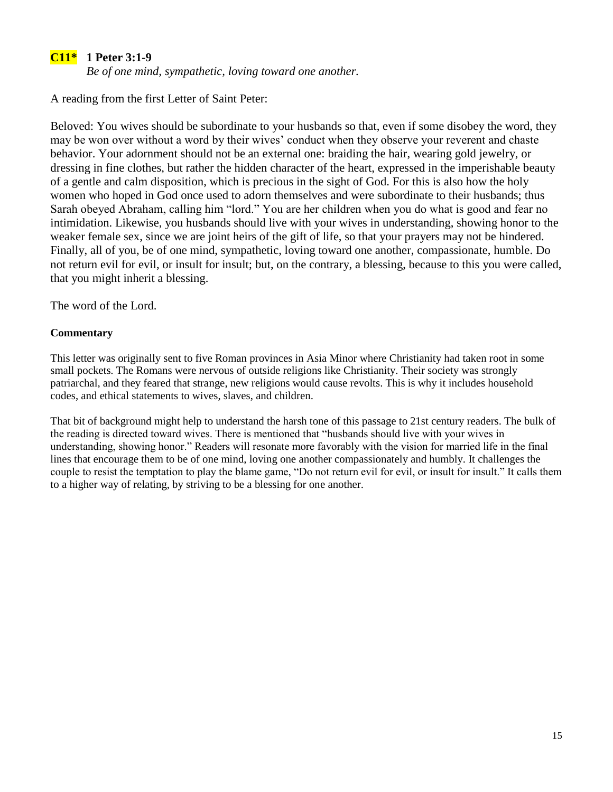# **C11\* 1 Peter 3:1-9**

*Be of one mind, sympathetic, loving toward one another.*

A reading from the first Letter of Saint Peter:

Beloved: You wives should be subordinate to your husbands so that, even if some disobey the word, they may be won over without a word by their wives' conduct when they observe your reverent and chaste behavior. Your adornment should not be an external one: braiding the hair, wearing gold jewelry, or dressing in fine clothes, but rather the hidden character of the heart, expressed in the imperishable beauty of a gentle and calm disposition, which is precious in the sight of God. For this is also how the holy women who hoped in God once used to adorn themselves and were subordinate to their husbands; thus Sarah obeyed Abraham, calling him "lord." You are her children when you do what is good and fear no intimidation. Likewise, you husbands should live with your wives in understanding, showing honor to the weaker female sex, since we are joint heirs of the gift of life, so that your prayers may not be hindered. Finally, all of you, be of one mind, sympathetic, loving toward one another, compassionate, humble. Do not return evil for evil, or insult for insult; but, on the contrary, a blessing, because to this you were called, that you might inherit a blessing.

The word of the Lord.

#### **Commentary**

This letter was originally sent to five Roman provinces in Asia Minor where Christianity had taken root in some small pockets. The Romans were nervous of outside religions like Christianity. Their society was strongly patriarchal, and they feared that strange, new religions would cause revolts. This is why it includes household codes, and ethical statements to wives, slaves, and children.

That bit of background might help to understand the harsh tone of this passage to 21st century readers. The bulk of the reading is directed toward wives. There is mentioned that "husbands should live with your wives in understanding, showing honor." Readers will resonate more favorably with the vision for married life in the final lines that encourage them to be of one mind, loving one another compassionately and humbly. It challenges the couple to resist the temptation to play the blame game, "Do not return evil for evil, or insult for insult." It calls them to a higher way of relating, by striving to be a blessing for one another.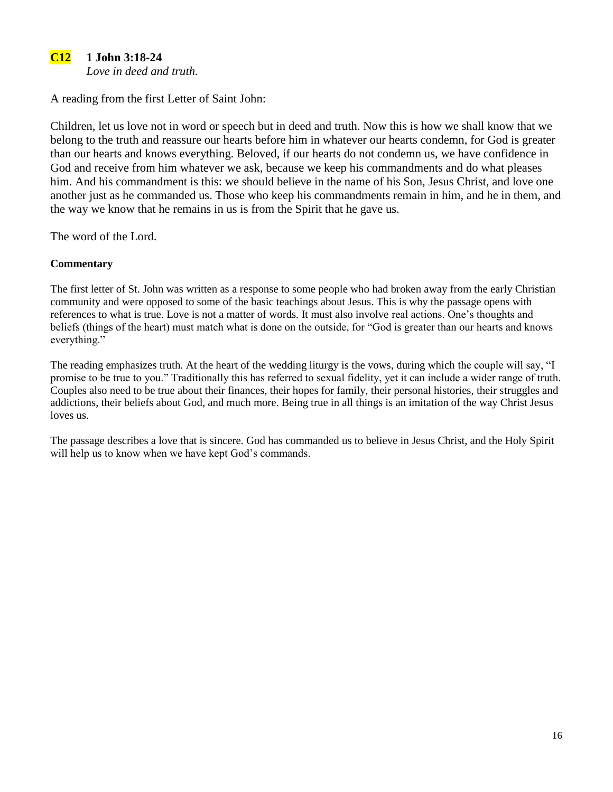# **C12 1 John 3:18-24**

*Love in deed and truth.*

A reading from the first Letter of Saint John:

Children, let us love not in word or speech but in deed and truth. Now this is how we shall know that we belong to the truth and reassure our hearts before him in whatever our hearts condemn, for God is greater than our hearts and knows everything. Beloved, if our hearts do not condemn us, we have confidence in God and receive from him whatever we ask, because we keep his commandments and do what pleases him. And his commandment is this: we should believe in the name of his Son, Jesus Christ, and love one another just as he commanded us. Those who keep his commandments remain in him, and he in them, and the way we know that he remains in us is from the Spirit that he gave us.

The word of the Lord.

## **Commentary**

The first letter of St. John was written as a response to some people who had broken away from the early Christian community and were opposed to some of the basic teachings about Jesus. This is why the passage opens with references to what is true. Love is not a matter of words. It must also involve real actions. One's thoughts and beliefs (things of the heart) must match what is done on the outside, for "God is greater than our hearts and knows everything."

The reading emphasizes truth. At the heart of the wedding liturgy is the vows, during which the couple will say, "I promise to be true to you." Traditionally this has referred to sexual fidelity, yet it can include a wider range of truth. Couples also need to be true about their finances, their hopes for family, their personal histories, their struggles and addictions, their beliefs about God, and much more. Being true in all things is an imitation of the way Christ Jesus loves us.

The passage describes a love that is sincere. God has commanded us to believe in Jesus Christ, and the Holy Spirit will help us to know when we have kept God's commands.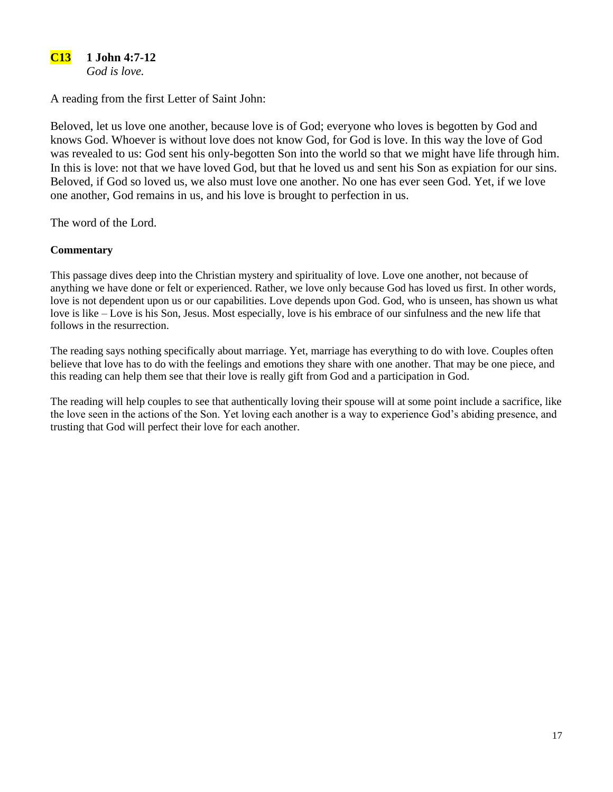#### **C13 1 John 4:7-12**  *God is love.*

A reading from the first Letter of Saint John:

Beloved, let us love one another, because love is of God; everyone who loves is begotten by God and knows God. Whoever is without love does not know God, for God is love. In this way the love of God was revealed to us: God sent his only-begotten Son into the world so that we might have life through him. In this is love: not that we have loved God, but that he loved us and sent his Son as expiation for our sins. Beloved, if God so loved us, we also must love one another. No one has ever seen God. Yet, if we love one another, God remains in us, and his love is brought to perfection in us.

The word of the Lord.

## **Commentary**

This passage dives deep into the Christian mystery and spirituality of love. Love one another, not because of anything we have done or felt or experienced. Rather, we love only because God has loved us first. In other words, love is not dependent upon us or our capabilities. Love depends upon God. God, who is unseen, has shown us what love is like – Love is his Son, Jesus. Most especially, love is his embrace of our sinfulness and the new life that follows in the resurrection.

The reading says nothing specifically about marriage. Yet, marriage has everything to do with love. Couples often believe that love has to do with the feelings and emotions they share with one another. That may be one piece, and this reading can help them see that their love is really gift from God and a participation in God.

The reading will help couples to see that authentically loving their spouse will at some point include a sacrifice, like the love seen in the actions of the Son. Yet loving each another is a way to experience God's abiding presence, and trusting that God will perfect their love for each another.